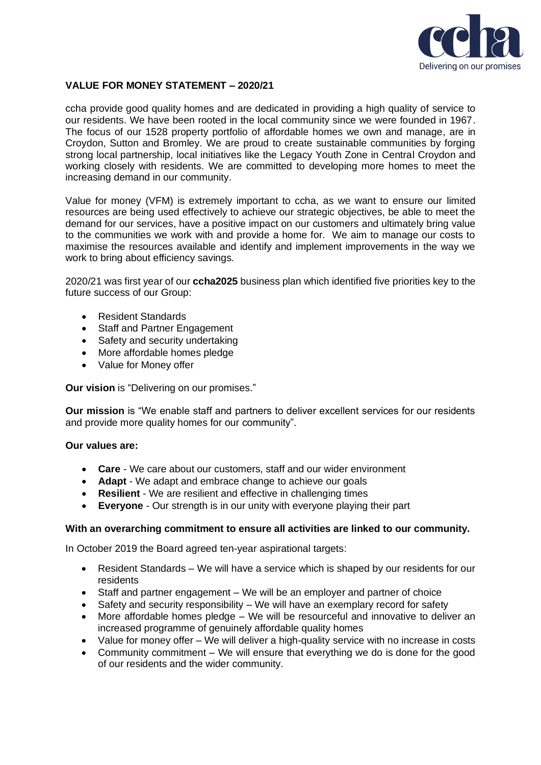

# **VALUE FOR MONEY STATEMENT – 2020/21**

ccha provide good quality homes and are dedicated in providing a high quality of service to our residents. We have been rooted in the local community since we were founded in 1967. The focus of our 1528 property portfolio of affordable homes we own and manage, are in Croydon, Sutton and Bromley. We are proud to create sustainable communities by forging strong local partnership, local initiatives like the Legacy Youth Zone in Central Croydon and working closely with residents. We are committed to developing more homes to meet the increasing demand in our community.

Value for money (VFM) is extremely important to ccha, as we want to ensure our limited resources are being used effectively to achieve our strategic objectives, be able to meet the demand for our services, have a positive impact on our customers and ultimately bring value to the communities we work with and provide a home for. We aim to manage our costs to maximise the resources available and identify and implement improvements in the way we work to bring about efficiency savings.

2020/21 was first year of our **ccha2025** business plan which identified five priorities key to the future success of our Group:

- Resident Standards
- Staff and Partner Engagement
- Safety and security undertaking
- More affordable homes pledge
- Value for Money offer

**Our vision** is "Delivering on our promises."

**Our mission** is "We enable staff and partners to deliver excellent services for our residents and provide more quality homes for our community".

# **Our values are:**

- **Care** We care about our customers, staff and our wider environment
- **Adapt** We adapt and embrace change to achieve our goals
- **Resilient**  We are resilient and effective in challenging times
- **Everyone** Our strength is in our unity with everyone playing their part

# **With an overarching commitment to ensure all activities are linked to our community.**

In October 2019 the Board agreed ten-year aspirational targets:

- Resident Standards We will have a service which is shaped by our residents for our residents
- Staff and partner engagement We will be an employer and partner of choice
- Safety and security responsibility We will have an exemplary record for safety
- More affordable homes pledge We will be resourceful and innovative to deliver an increased programme of genuinely affordable quality homes
- Value for money offer We will deliver a high-quality service with no increase in costs
- Community commitment We will ensure that everything we do is done for the good of our residents and the wider community.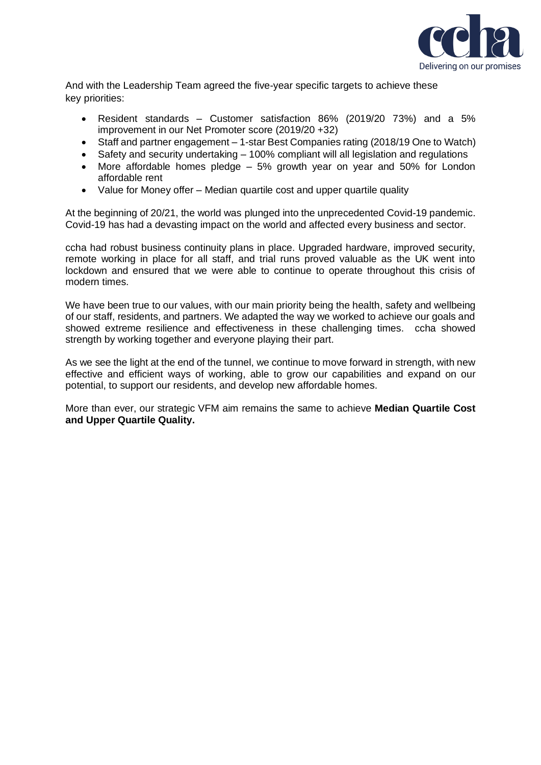

And with the Leadership Team agreed the five-year specific targets to achieve these key priorities:

- Resident standards Customer satisfaction 86% (2019/20 73%) and a 5% improvement in our Net Promoter score (2019/20 +32)
- Staff and partner engagement 1-star Best Companies rating (2018/19 One to Watch)
- Safety and security undertaking 100% compliant will all legislation and regulations
- More affordable homes pledge 5% growth year on year and 50% for London affordable rent
- Value for Money offer Median quartile cost and upper quartile quality

At the beginning of 20/21, the world was plunged into the unprecedented Covid-19 pandemic. Covid-19 has had a devasting impact on the world and affected every business and sector.

ccha had robust business continuity plans in place. Upgraded hardware, improved security, remote working in place for all staff, and trial runs proved valuable as the UK went into lockdown and ensured that we were able to continue to operate throughout this crisis of modern times.

We have been true to our values, with our main priority being the health, safety and wellbeing of our staff, residents, and partners. We adapted the way we worked to achieve our goals and showed extreme resilience and effectiveness in these challenging times. ccha showed strength by working together and everyone playing their part.

As we see the light at the end of the tunnel, we continue to move forward in strength, with new effective and efficient ways of working, able to grow our capabilities and expand on our potential, to support our residents, and develop new affordable homes.

More than ever, our strategic VFM aim remains the same to achieve **Median Quartile Cost and Upper Quartile Quality.**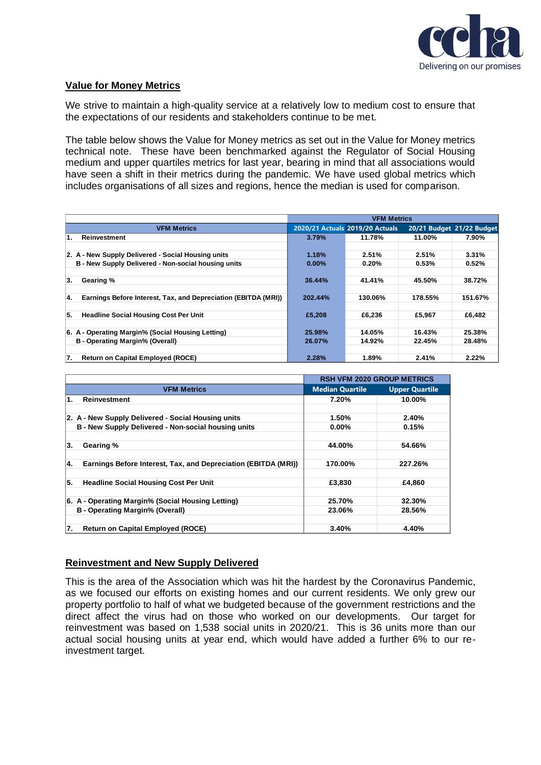

# **Value for Money Metrics**

We strive to maintain a high-quality service at a relatively low to medium cost to ensure that the expectations of our residents and stakeholders continue to be met.

The table below shows the Value for Money metrics as set out in the Value for Money metrics technical note. These have been benchmarked against the Regulator of Social Housing medium and upper quartiles metrics for last year, bearing in mind that all associations would have seen a shift in their metrics during the pandemic. We have used global metrics which includes organisations of all sizes and regions, hence the median is used for comparison.

|                                                                      | <b>VFM Metrics</b> |                                 |         |                           |
|----------------------------------------------------------------------|--------------------|---------------------------------|---------|---------------------------|
| <b>VFM Metrics</b>                                                   |                    | 2020/21 Actuals 2019/20 Actuals |         | 20/21 Budget 21/22 Budget |
| Reinvestment<br>1.                                                   | 3.79%              | 11.78%                          | 11.00%  | 7.90%                     |
|                                                                      |                    |                                 |         |                           |
| 2. A - New Supply Delivered - Social Housing units                   | 1.18%              | 2.51%                           | 2.51%   | 3.31%                     |
| B - New Supply Delivered - Non-social housing units                  | $0.00\%$           | 0.20%                           | 0.53%   | 0.52%                     |
|                                                                      |                    |                                 |         |                           |
| 3.<br>Gearing %                                                      | 36.44%             | 41.41%                          | 45.50%  | 38.72%                    |
|                                                                      |                    |                                 |         |                           |
| Earnings Before Interest, Tax, and Depreciation (EBITDA (MRI))<br>4. | 202.44%            | 130.06%                         | 178.55% | 151.67%                   |
|                                                                      |                    |                                 |         |                           |
| 5.<br><b>Headline Social Housing Cost Per Unit</b>                   | £5,208             | £6.236                          | £5.967  | £6.482                    |
|                                                                      |                    |                                 |         |                           |
| 6. A - Operating Margin% (Social Housing Letting)                    | 25.98%             | 14.05%                          | 16.43%  | 25.38%                    |
| B - Operating Margin% (Overall)                                      | 26.07%             | 14.92%                          | 22.45%  | 28.48%                    |
|                                                                      |                    |                                 |         |                           |
| 17.<br><b>Return on Capital Employed (ROCE)</b>                      | 2.28%              | 1.89%                           | 2.41%   | 2.22%                     |

|                                                                       | <b>RSH VFM 2020 GROUP METRICS</b> |                       |
|-----------------------------------------------------------------------|-----------------------------------|-----------------------|
| <b>VFM Metrics</b>                                                    | <b>Median Quartile</b>            | <b>Upper Quartile</b> |
| 1.<br><b>Reinvestment</b>                                             | 7.20%                             | 10.00%                |
|                                                                       |                                   |                       |
| 2. A - New Supply Delivered - Social Housing units                    | 1.50%                             | 2.40%                 |
| B - New Supply Delivered - Non-social housing units                   | $0.00\%$                          | 0.15%                 |
|                                                                       |                                   |                       |
| 3.<br>Gearing %                                                       | 44.00%                            | 54.66%                |
|                                                                       |                                   |                       |
| Earnings Before Interest, Tax, and Depreciation (EBITDA (MRI))<br>14. | 170.00%                           | 227.26%               |
|                                                                       |                                   |                       |
| 5.<br><b>Headline Social Housing Cost Per Unit</b>                    | £3,830                            | £4,860                |
|                                                                       |                                   |                       |
| 6. A - Operating Margin% (Social Housing Letting)                     | 25.70%                            | 32.30%                |
| B - Operating Margin% (Overall)                                       | 23.06%                            | 28.56%                |
|                                                                       |                                   |                       |
| 17.<br><b>Return on Capital Employed (ROCE)</b>                       | 3.40%                             | 4.40%                 |

# **Reinvestment and New Supply Delivered**

This is the area of the Association which was hit the hardest by the Coronavirus Pandemic, as we focused our efforts on existing homes and our current residents. We only grew our property portfolio to half of what we budgeted because of the government restrictions and the direct affect the virus had on those who worked on our developments. Our target for reinvestment was based on 1,538 social units in 2020/21. This is 36 units more than our actual social housing units at year end, which would have added a further 6% to our reinvestment target.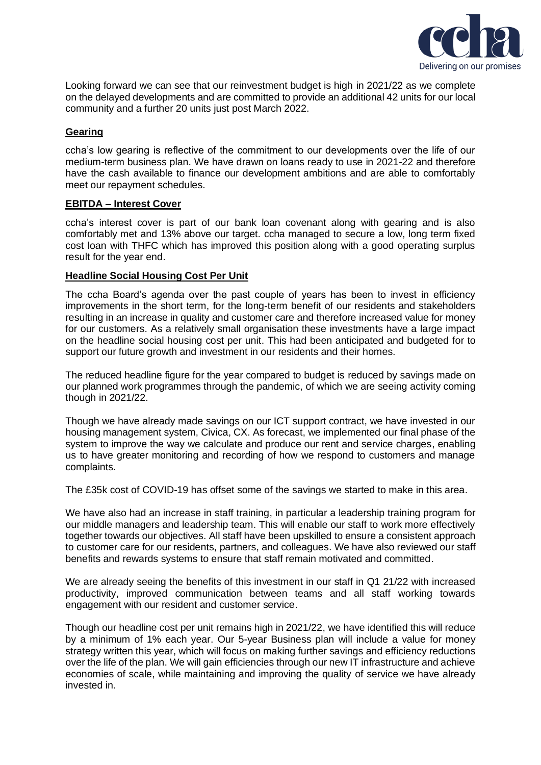

Looking forward we can see that our reinvestment budget is high in 2021/22 as we complete on the delayed developments and are committed to provide an additional 42 units for our local community and a further 20 units just post March 2022.

# **Gearing**

ccha's low gearing is reflective of the commitment to our developments over the life of our medium-term business plan. We have drawn on loans ready to use in 2021-22 and therefore have the cash available to finance our development ambitions and are able to comfortably meet our repayment schedules.

## **EBITDA – Interest Cover**

ccha's interest cover is part of our bank loan covenant along with gearing and is also comfortably met and 13% above our target. ccha managed to secure a low, long term fixed cost loan with THFC which has improved this position along with a good operating surplus result for the year end.

## **Headline Social Housing Cost Per Unit**

The ccha Board's agenda over the past couple of years has been to invest in efficiency improvements in the short term, for the long-term benefit of our residents and stakeholders resulting in an increase in quality and customer care and therefore increased value for money for our customers. As a relatively small organisation these investments have a large impact on the headline social housing cost per unit. This had been anticipated and budgeted for to support our future growth and investment in our residents and their homes.

The reduced headline figure for the year compared to budget is reduced by savings made on our planned work programmes through the pandemic, of which we are seeing activity coming though in 2021/22.

Though we have already made savings on our ICT support contract, we have invested in our housing management system, Civica, CX. As forecast, we implemented our final phase of the system to improve the way we calculate and produce our rent and service charges, enabling us to have greater monitoring and recording of how we respond to customers and manage complaints.

The £35k cost of COVID-19 has offset some of the savings we started to make in this area.

We have also had an increase in staff training, in particular a leadership training program for our middle managers and leadership team. This will enable our staff to work more effectively together towards our objectives. All staff have been upskilled to ensure a consistent approach to customer care for our residents, partners, and colleagues. We have also reviewed our staff benefits and rewards systems to ensure that staff remain motivated and committed.

We are already seeing the benefits of this investment in our staff in Q1 21/22 with increased productivity, improved communication between teams and all staff working towards engagement with our resident and customer service.

Though our headline cost per unit remains high in 2021/22, we have identified this will reduce by a minimum of 1% each year. Our 5-year Business plan will include a value for money strategy written this year, which will focus on making further savings and efficiency reductions over the life of the plan. We will gain efficiencies through our new IT infrastructure and achieve economies of scale, while maintaining and improving the quality of service we have already invested in.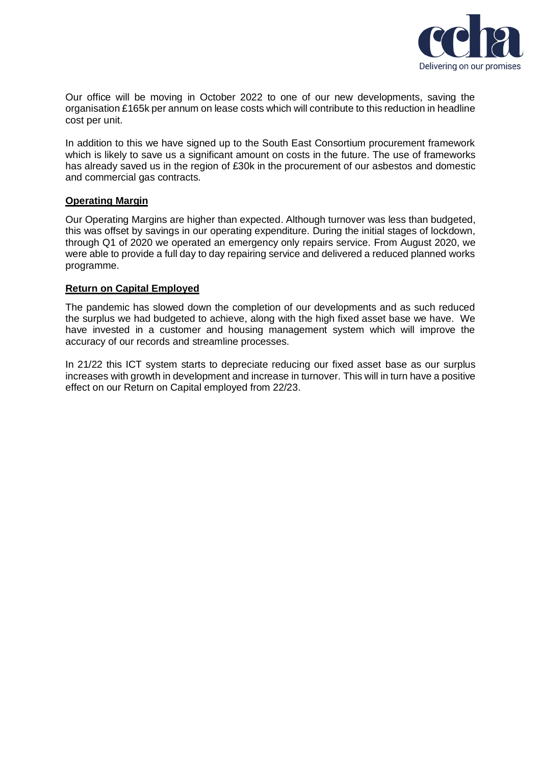

Our office will be moving in October 2022 to one of our new developments, saving the organisation £165k per annum on lease costs which will contribute to this reduction in headline cost per unit.

In addition to this we have signed up to the South East Consortium procurement framework which is likely to save us a significant amount on costs in the future. The use of frameworks has already saved us in the region of £30k in the procurement of our asbestos and domestic and commercial gas contracts.

# **Operating Margin**

Our Operating Margins are higher than expected. Although turnover was less than budgeted, this was offset by savings in our operating expenditure. During the initial stages of lockdown, through Q1 of 2020 we operated an emergency only repairs service. From August 2020, we were able to provide a full day to day repairing service and delivered a reduced planned works programme.

## **Return on Capital Employed**

The pandemic has slowed down the completion of our developments and as such reduced the surplus we had budgeted to achieve, along with the high fixed asset base we have. We have invested in a customer and housing management system which will improve the accuracy of our records and streamline processes.

In 21/22 this ICT system starts to depreciate reducing our fixed asset base as our surplus increases with growth in development and increase in turnover. This will in turn have a positive effect on our Return on Capital employed from 22/23.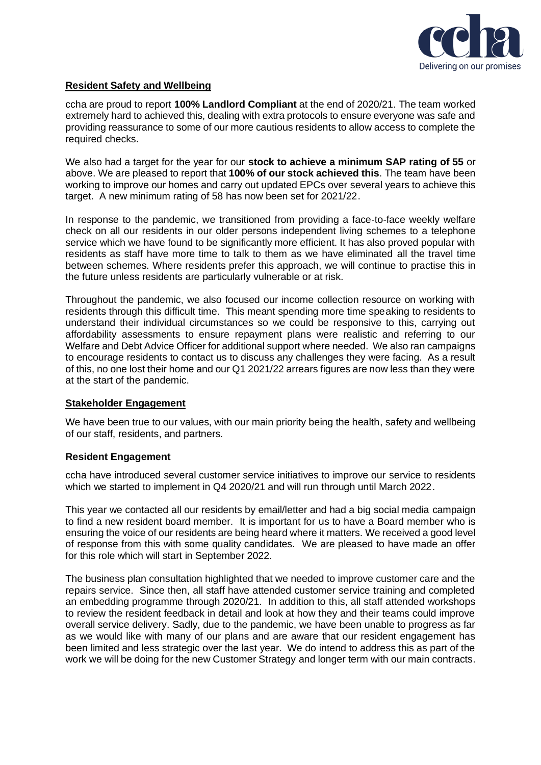

# **Resident Safety and Wellbeing**

ccha are proud to report **100% Landlord Compliant** at the end of 2020/21. The team worked extremely hard to achieved this, dealing with extra protocols to ensure everyone was safe and providing reassurance to some of our more cautious residents to allow access to complete the required checks.

We also had a target for the year for our **stock to achieve a minimum SAP rating of 55** or above. We are pleased to report that **100% of our stock achieved this**. The team have been working to improve our homes and carry out updated EPCs over several years to achieve this target. A new minimum rating of 58 has now been set for 2021/22.

In response to the pandemic, we transitioned from providing a face-to-face weekly welfare check on all our residents in our older persons independent living schemes to a telephone service which we have found to be significantly more efficient. It has also proved popular with residents as staff have more time to talk to them as we have eliminated all the travel time between schemes. Where residents prefer this approach, we will continue to practise this in the future unless residents are particularly vulnerable or at risk.

Throughout the pandemic, we also focused our income collection resource on working with residents through this difficult time. This meant spending more time speaking to residents to understand their individual circumstances so we could be responsive to this, carrying out affordability assessments to ensure repayment plans were realistic and referring to our Welfare and Debt Advice Officer for additional support where needed. We also ran campaigns to encourage residents to contact us to discuss any challenges they were facing. As a result of this, no one lost their home and our Q1 2021/22 arrears figures are now less than they were at the start of the pandemic.

# **Stakeholder Engagement**

We have been true to our values, with our main priority being the health, safety and wellbeing of our staff, residents, and partners.

# **Resident Engagement**

ccha have introduced several customer service initiatives to improve our service to residents which we started to implement in Q4 2020/21 and will run through until March 2022.

This year we contacted all our residents by email/letter and had a big social media campaign to find a new resident board member. It is important for us to have a Board member who is ensuring the voice of our residents are being heard where it matters. We received a good level of response from this with some quality candidates. We are pleased to have made an offer for this role which will start in September 2022.

The business plan consultation highlighted that we needed to improve customer care and the repairs service. Since then, all staff have attended customer service training and completed an embedding programme through 2020/21. In addition to this, all staff attended workshops to review the resident feedback in detail and look at how they and their teams could improve overall service delivery. Sadly, due to the pandemic, we have been unable to progress as far as we would like with many of our plans and are aware that our resident engagement has been limited and less strategic over the last year. We do intend to address this as part of the work we will be doing for the new Customer Strategy and longer term with our main contracts.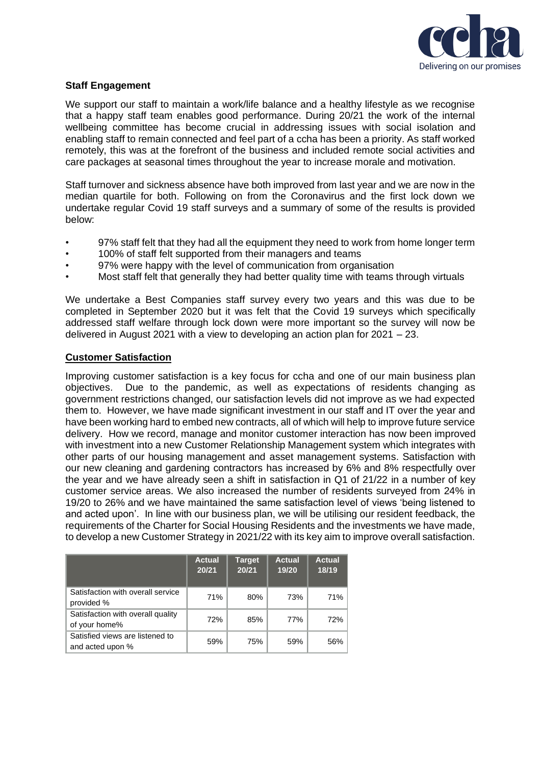

# **Staff Engagement**

We support our staff to maintain a work/life balance and a healthy lifestyle as we recognise that a happy staff team enables good performance. During 20/21 the work of the internal wellbeing committee has become crucial in addressing issues with social isolation and enabling staff to remain connected and feel part of a ccha has been a priority. As staff worked remotely, this was at the forefront of the business and included remote social activities and care packages at seasonal times throughout the year to increase morale and motivation.

Staff turnover and sickness absence have both improved from last year and we are now in the median quartile for both. Following on from the Coronavirus and the first lock down we undertake regular Covid 19 staff surveys and a summary of some of the results is provided below:

- 97% staff felt that they had all the equipment they need to work from home longer term
- 100% of staff felt supported from their managers and teams
- 97% were happy with the level of communication from organisation
- Most staff felt that generally they had better quality time with teams through virtuals

We undertake a Best Companies staff survey every two years and this was due to be completed in September 2020 but it was felt that the Covid 19 surveys which specifically addressed staff welfare through lock down were more important so the survey will now be delivered in August 2021 with a view to developing an action plan for  $2021 - 23$ .

# **Customer Satisfaction**

Improving customer satisfaction is a key focus for ccha and one of our main business plan objectives. Due to the pandemic, as well as expectations of residents changing as government restrictions changed, our satisfaction levels did not improve as we had expected them to. However, we have made significant investment in our staff and IT over the year and have been working hard to embed new contracts, all of which will help to improve future service delivery. How we record, manage and monitor customer interaction has now been improved with investment into a new Customer Relationship Management system which integrates with other parts of our housing management and asset management systems. Satisfaction with our new cleaning and gardening contractors has increased by 6% and 8% respectfully over the year and we have already seen a shift in satisfaction in Q1 of 21/22 in a number of key customer service areas. We also increased the number of residents surveyed from 24% in 19/20 to 26% and we have maintained the same satisfaction level of views 'being listened to and acted upon'. In line with our business plan, we will be utilising our resident feedback, the requirements of the Charter for Social Housing Residents and the investments we have made, to develop a new Customer Strategy in 2021/22 with its key aim to improve overall satisfaction.

|                                                     | <b>Actual</b><br>20/21 | <b>Target</b><br>20/21 | Actual.<br>19/20 | <b>Actual</b><br>18/19 |
|-----------------------------------------------------|------------------------|------------------------|------------------|------------------------|
| Satisfaction with overall service<br>provided %     | 71%                    | 80%                    | 73%              | 71%                    |
| Satisfaction with overall quality<br>of your home%  | 72%                    | 85%                    | 77%              | 72%                    |
| Satisfied views are listened to<br>and acted upon % | 59%                    | 75%                    | 59%              | 56%                    |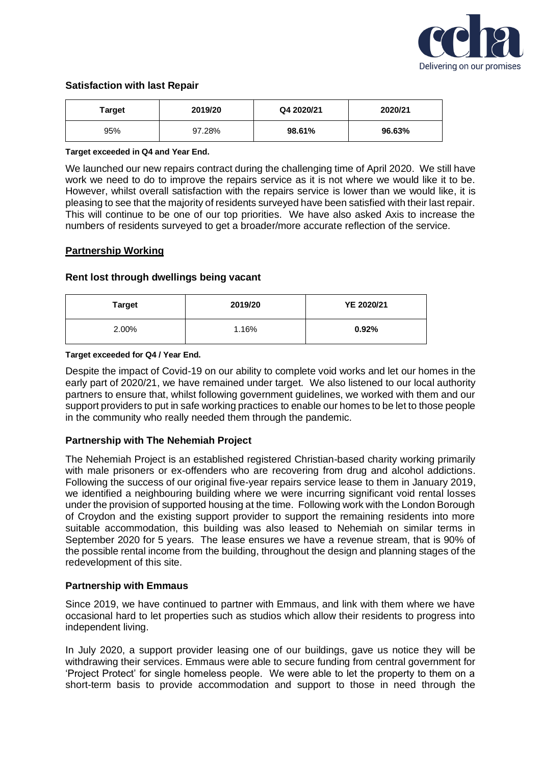

## **Satisfaction with last Repair**

| Target | 2019/20 | Q4 2020/21 | 2020/21 |
|--------|---------|------------|---------|
| 95%    | 97.28%  | 98.61%     | 96.63%  |

#### **Target exceeded in Q4 and Year End.**

We launched our new repairs contract during the challenging time of April 2020. We still have work we need to do to improve the repairs service as it is not where we would like it to be. However, whilst overall satisfaction with the repairs service is lower than we would like, it is pleasing to see that the majority of residents surveyed have been satisfied with their last repair. This will continue to be one of our top priorities. We have also asked Axis to increase the numbers of residents surveyed to get a broader/more accurate reflection of the service.

## **Partnership Working**

## **Rent lost through dwellings being vacant**

| <b>Target</b> | 2019/20 | YE 2020/21 |
|---------------|---------|------------|
| 2.00%         | 1.16%   | 0.92%      |

#### **Target exceeded for Q4 / Year End.**

Despite the impact of Covid-19 on our ability to complete void works and let our homes in the early part of 2020/21, we have remained under target. We also listened to our local authority partners to ensure that, whilst following government guidelines, we worked with them and our support providers to put in safe working practices to enable our homes to be let to those people in the community who really needed them through the pandemic.

### **Partnership with The Nehemiah Project**

The Nehemiah Project is an established registered Christian-based charity working primarily with male prisoners or ex-offenders who are recovering from drug and alcohol addictions. Following the success of our original five-year repairs service lease to them in January 2019, we identified a neighbouring building where we were incurring significant void rental losses under the provision of supported housing at the time. Following work with the London Borough of Croydon and the existing support provider to support the remaining residents into more suitable accommodation, this building was also leased to Nehemiah on similar terms in September 2020 for 5 years. The lease ensures we have a revenue stream, that is 90% of the possible rental income from the building, throughout the design and planning stages of the redevelopment of this site.

### **Partnership with Emmaus**

Since 2019, we have continued to partner with Emmaus, and link with them where we have occasional hard to let properties such as studios which allow their residents to progress into independent living.

In July 2020, a support provider leasing one of our buildings, gave us notice they will be withdrawing their services. Emmaus were able to secure funding from central government for 'Project Protect' for single homeless people. We were able to let the property to them on a short-term basis to provide accommodation and support to those in need through the